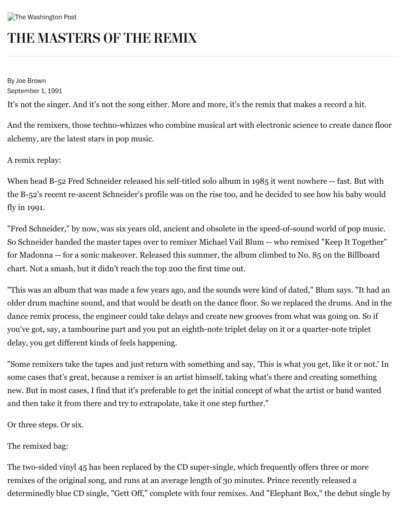## THE MASTERS OF THE REMIX

By Joe Brown September 1, 1991

It's not the singer. And it's not the song either. More and more, it's the remix that makes a record a hit.

And the remixers, those techno-whizzes who combine musical art with electronic science to create dance floor alchemy, are the latest stars in pop music.

## A remix replay:

When head B-52 Fred Schneider released his self-titled solo album in 1985 it went nowhere -- fast. But with the B-52's recent re-ascent Schneider's profile was on the rise too, and he decided to see how his baby would fly in 1991.

"Fred Schneider," by now, was six years old, ancient and obsolete in the speed-of-sound world of pop music. So Schneider handed the master tapes over to remixer Michael Vail Blum -- who remixed "Keep It Together" for Madonna -- for a sonic makeover. Released this summer, the album climbed to No. 85 on the Billboard chart. Not a smash, but it didn't reach the top 200 the first time out.

"This was an album that was made a few years ago, and the sounds were kind of dated," Blum says. "It had an older drum machine sound, and that would be death on the dance floor. So we replaced the drums. And in the dance remix process, the engineer could take delays and create new grooves from what was going on. So if you've got, say, a tambourine part and you put an eighth-note triplet delay on it or a quarter-note triplet delay, you get different kinds of feels happening.

"Some remixers take the tapes and just return with something and say, 'This is what you get, like it or not.' In some cases that's great, because a remixer is an artist himself, taking what's there and creating something new. But in most cases, I find that it's preferable to get the initial concept of what the artist or band wanted and then take it from there and try to extrapolate, take it one step further."

Or three steps. Or six.

The remixed bag:

The two-sided vinyl 45 has been replaced by the CD super-single, which frequently offers three or more remixes of the original song, and runs at an average length of 30 minutes. Prince recently released a determinedly blue CD single, "Gett Off," complete with four remixes. And "Elephant Box," the debut single by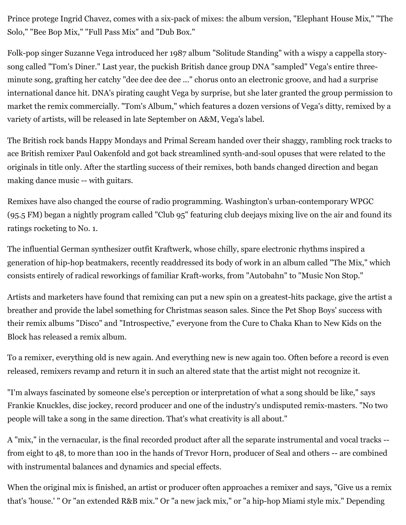Prince protege Ingrid Chavez, comes with a six-pack of mixes: the album version, "Elephant House Mix," "The Solo," "Bee Bop Mix," "Full Pass Mix" and "Dub Box."

Folk-pop singer Suzanne Vega introduced her 1987 album "Solitude Standing" with a wispy a cappella storysong called "Tom's Diner." Last year, the puckish British dance group DNA "sampled" Vega's entire threeminute song, grafting her catchy "dee dee dee dee ..." chorus onto an electronic groove, and had a surprise international dance hit. DNA's pirating caught Vega by surprise, but she later granted the group permission to market the remix commercially. "Tom's Album," which features a dozen versions of Vega's ditty, remixed by a variety of artists, will be released in late September on A&M, Vega's label.

The British rock bands Happy Mondays and Primal Scream handed over their shaggy, rambling rock tracks to ace British remixer Paul Oakenfold and got back streamlined synth-and-soul opuses that were related to the originals in title only. After the startling success of their remixes, both bands changed direction and began making dance music -- with guitars.

Remixes have also changed the course of radio programming. Washington's urban-contemporary WPGC (95.5 FM) began a nightly program called "Club 95" featuring club deejays mixing live on the air and found its ratings rocketing to No. 1.

The influential German synthesizer outfit Kraftwerk, whose chilly, spare electronic rhythms inspired a generation of hip-hop beatmakers, recently readdressed its body of work in an album called "The Mix," which consists entirely of radical reworkings of familiar Kraft-works, from "Autobahn" to "Music Non Stop."

Artists and marketers have found that remixing can put a new spin on a greatest-hits package, give the artist a breather and provide the label something for Christmas season sales. Since the Pet Shop Boys' success with their remix albums "Disco" and "Introspective," everyone from the Cure to Chaka Khan to New Kids on the Block has released a remix album.

To a remixer, everything old is new again. And everything new is new again too. Often before a record is even released, remixers revamp and return it in such an altered state that the artist might not recognize it.

"I'm always fascinated by someone else's perception or interpretation of what a song should be like," says Frankie Knuckles, disc jockey, record producer and one of the industry's undisputed remix-masters. "No two people will take a song in the same direction. That's what creativity is all about."

A "mix," in the vernacular, is the final recorded product after all the separate instrumental and vocal tracks - from eight to 48, to more than 100 in the hands of Trevor Horn, producer of Seal and others -- are combined with instrumental balances and dynamics and special effects.

When the original mix is finished, an artist or producer often approaches a remixer and says, "Give us a remix that's 'house.' " Or "an extended R&B mix." Or "a new jack mix," or "a hip-hop Miami style mix." Depending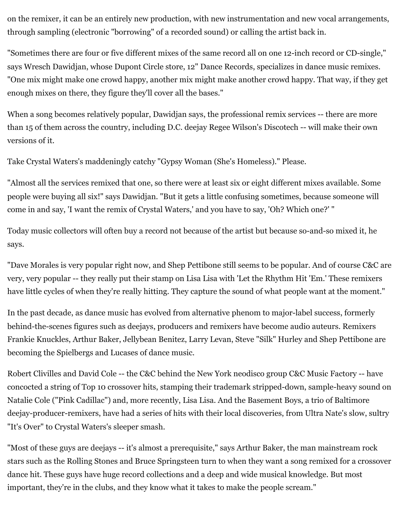on the remixer, it can be an entirely new production, with new instrumentation and new vocal arrangements, through sampling (electronic "borrowing" of a recorded sound) or calling the artist back in.

"Sometimes there are four or five different mixes of the same record all on one 12-inch record or CD-single," says Wresch Dawidjan, whose Dupont Circle store, 12" Dance Records, specializes in dance music remixes. "One mix might make one crowd happy, another mix might make another crowd happy. That way, if they get enough mixes on there, they figure they'll cover all the bases."

When a song becomes relatively popular, Dawidjan says, the professional remix services -- there are more than 15 of them across the country, including D.C. deejay Regee Wilson's Discotech -- will make their own versions of it.

Take Crystal Waters's maddeningly catchy "Gypsy Woman (She's Homeless)." Please.

"Almost all the services remixed that one, so there were at least six or eight different mixes available. Some people were buying all six!" says Dawidjan. "But it gets a little confusing sometimes, because someone will come in and say, 'I want the remix of Crystal Waters,' and you have to say, 'Oh? Which one?' "

Today music collectors will often buy a record not because of the artist but because so-and-so mixed it, he says.

"Dave Morales is very popular right now, and Shep Pettibone still seems to be popular. And of course C&C are very, very popular -- they really put their stamp on Lisa Lisa with 'Let the Rhythm Hit 'Em.' These remixers have little cycles of when they're really hitting. They capture the sound of what people want at the moment."

In the past decade, as dance music has evolved from alternative phenom to major-label success, formerly behind-the-scenes figures such as deejays, producers and remixers have become audio auteurs. Remixers Frankie Knuckles, Arthur Baker, Jellybean Benitez, Larry Levan, Steve "Silk" Hurley and Shep Pettibone are becoming the Spielbergs and Lucases of dance music.

Robert Clivilles and David Cole -- the C&C behind the New York neodisco group C&C Music Factory -- have concocted a string of Top 10 crossover hits, stamping their trademark stripped-down, sample-heavy sound on Natalie Cole ("Pink Cadillac") and, more recently, Lisa Lisa. And the Basement Boys, a trio of Baltimore deejay-producer-remixers, have had a series of hits with their local discoveries, from Ultra Nate's slow, sultry "It's Over" to Crystal Waters's sleeper smash.

"Most of these guys are deejays -- it's almost a prerequisite," says Arthur Baker, the man mainstream rock stars such as the Rolling Stones and Bruce Springsteen turn to when they want a song remixed for a crossover dance hit. These guys have huge record collections and a deep and wide musical knowledge. But most important, they're in the clubs, and they know what it takes to make the people scream."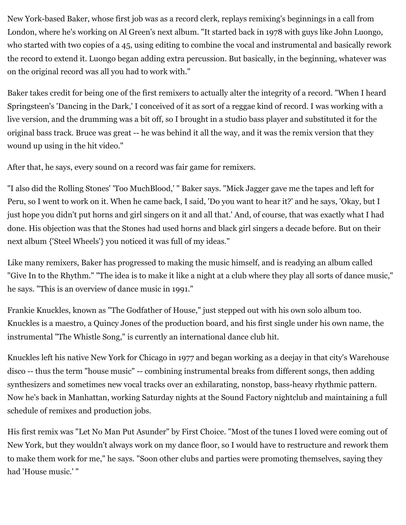New York-based Baker, whose first job was as a record clerk, replays remixing's beginnings in a call from London, where he's working on Al Green's next album. "It started back in 1978 with guys like John Luongo, who started with two copies of a 45, using editing to combine the vocal and instrumental and basically rework the record to extend it. Luongo began adding extra percussion. But basically, in the beginning, whatever was on the original record was all you had to work with."

Baker takes credit for being one of the first remixers to actually alter the integrity of a record. "When I heard Springsteen's 'Dancing in the Dark,' I conceived of it as sort of a reggae kind of record. I was working with a live version, and the drumming was a bit off, so I brought in a studio bass player and substituted it for the original bass track. Bruce was great -- he was behind it all the way, and it was the remix version that they wound up using in the hit video."

After that, he says, every sound on a record was fair game for remixers.

"I also did the Rolling Stones' 'Too MuchBlood,' " Baker says. "Mick Jagger gave me the tapes and left for Peru, so I went to work on it. When he came back, I said, 'Do you want to hear it?' and he says, 'Okay, but I just hope you didn't put horns and girl singers on it and all that.' And, of course, that was exactly what I had done. His objection was that the Stones had used horns and black girl singers a decade before. But on their next album {'Steel Wheels'} you noticed it was full of my ideas."

Like many remixers, Baker has progressed to making the music himself, and is readying an album called "Give In to the Rhythm." "The idea is to make it like a night at a club where they play all sorts of dance music," he says. "This is an overview of dance music in 1991."

Frankie Knuckles, known as "The Godfather of House," just stepped out with his own solo album too. Knuckles is a maestro, a Quincy Jones of the production board, and his first single under his own name, the instrumental "The Whistle Song," is currently an international dance club hit.

Knuckles left his native New York for Chicago in 1977 and began working as a deejay in that city's Warehouse disco -- thus the term "house music" -- combining instrumental breaks from different songs, then adding synthesizers and sometimes new vocal tracks over an exhilarating, nonstop, bass-heavy rhythmic pattern. Now he's back in Manhattan, working Saturday nights at the Sound Factory nightclub and maintaining a full schedule of remixes and production jobs.

His first remix was "Let No Man Put Asunder" by First Choice. "Most of the tunes I loved were coming out of New York, but they wouldn't always work on my dance floor, so I would have to restructure and rework them to make them work for me," he says. "Soon other clubs and parties were promoting themselves, saying they had 'House music.' "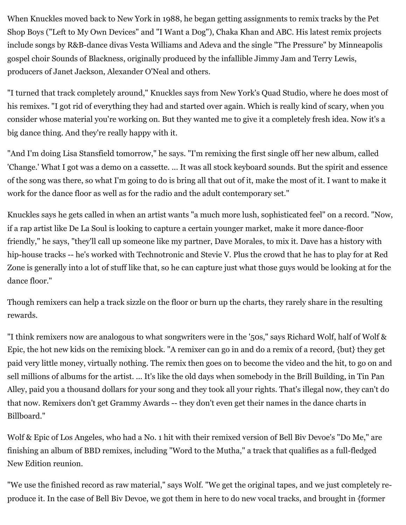When Knuckles moved back to New York in 1988, he began getting assignments to remix tracks by the Pet Shop Boys ("Left to My Own Devices" and "I Want a Dog"), Chaka Khan and ABC. His latest remix projects include songs by R&B-dance divas Vesta Williams and Adeva and the single "The Pressure" by Minneapolis gospel choir Sounds of Blackness, originally produced by the infallible Jimmy Jam and Terry Lewis, producers of Janet Jackson, Alexander O'Neal and others.

"I turned that track completely around," Knuckles says from New York's Quad Studio, where he does most of his remixes. "I got rid of everything they had and started over again. Which is really kind of scary, when you consider whose material you're working on. But they wanted me to give it a completely fresh idea. Now it's a big dance thing. And they're really happy with it.

"And I'm doing Lisa Stansfield tomorrow," he says. "I'm remixing the first single off her new album, called 'Change.' What I got was a demo on a cassette. ... It was all stock keyboard sounds. But the spirit and essence of the song was there, so what I'm going to do is bring all that out of it, make the most of it. I want to make it work for the dance floor as well as for the radio and the adult contemporary set."

Knuckles says he gets called in when an artist wants "a much more lush, sophisticated feel" on a record. "Now, if a rap artist like De La Soul is looking to capture a certain younger market, make it more dance-floor friendly," he says, "they'll call up someone like my partner, Dave Morales, to mix it. Dave has a history with hip-house tracks -- he's worked with Technotronic and Stevie V. Plus the crowd that he has to play for at Red Zone is generally into a lot of stuff like that, so he can capture just what those guys would be looking at for the dance floor."

Though remixers can help a track sizzle on the floor or burn up the charts, they rarely share in the resulting rewards.

"I think remixers now are analogous to what songwriters were in the '50s," says Richard Wolf, half of Wolf & Epic, the hot new kids on the remixing block. "A remixer can go in and do a remix of a record, {but} they get paid very little money, virtually nothing. The remix then goes on to become the video and the hit, to go on and sell millions of albums for the artist. ... It's like the old days when somebody in the Brill Building, in Tin Pan Alley, paid you a thousand dollars for your song and they took all your rights. That's illegal now, they can't do that now. Remixers don't get Grammy Awards -- they don't even get their names in the dance charts in Billboard."

Wolf & Epic of Los Angeles, who had a No. 1 hit with their remixed version of Bell Biv Devoe's "Do Me," are finishing an album of BBD remixes, including "Word to the Mutha," a track that qualifies as a full-fledged New Edition reunion.

"We use the finished record as raw material," says Wolf. "We get the original tapes, and we just completely reproduce it. In the case of Bell Biv Devoe, we got them in here to do new vocal tracks, and brought in {former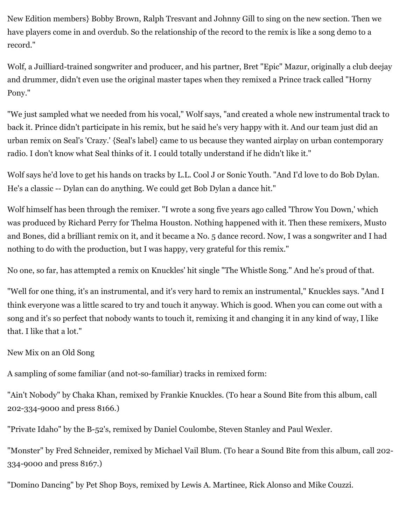New Edition members} Bobby Brown, Ralph Tresvant and Johnny Gill to sing on the new section. Then we have players come in and overdub. So the relationship of the record to the remix is like a song demo to a record."

Wolf, a Juilliard-trained songwriter and producer, and his partner, Bret "Epic" Mazur, originally a club deejay and drummer, didn't even use the original master tapes when they remixed a Prince track called "Horny Pony."

"We just sampled what we needed from his vocal," Wolf says, "and created a whole new instrumental track to back it. Prince didn't participate in his remix, but he said he's very happy with it. And our team just did an urban remix on Seal's 'Crazy.' {Seal's label} came to us because they wanted airplay on urban contemporary radio. I don't know what Seal thinks of it. I could totally understand if he didn't like it."

Wolf says he'd love to get his hands on tracks by L.L. Cool J or Sonic Youth. "And I'd love to do Bob Dylan. He's a classic -- Dylan can do anything. We could get Bob Dylan a dance hit."

Wolf himself has been through the remixer. "I wrote a song five years ago called 'Throw You Down,' which was produced by Richard Perry for Thelma Houston. Nothing happened with it. Then these remixers, Musto and Bones, did a brilliant remix on it, and it became a No. 5 dance record. Now, I was a songwriter and I had nothing to do with the production, but I was happy, very grateful for this remix."

No one, so far, has attempted a remix on Knuckles' hit single "The Whistle Song." And he's proud of that.

"Well for one thing, it's an instrumental, and it's very hard to remix an instrumental," Knuckles says. "And I think everyone was a little scared to try and touch it anyway. Which is good. When you can come out with a song and it's so perfect that nobody wants to touch it, remixing it and changing it in any kind of way, I like that. I like that a lot."

New Mix on an Old Song

A sampling of some familiar (and not-so-familiar) tracks in remixed form:

"Ain't Nobody" by Chaka Khan, remixed by Frankie Knuckles. (To hear a Sound Bite from this album, call 202-334-9000 and press 8166.)

"Private Idaho" by the B-52's, remixed by Daniel Coulombe, Steven Stanley and Paul Wexler.

"Monster" by Fred Schneider, remixed by Michael Vail Blum. (To hear a Sound Bite from this album, call 202- 334-9000 and press 8167.)

"Domino Dancing" by Pet Shop Boys, remixed by Lewis A. Martinee, Rick Alonso and Mike Couzzi.